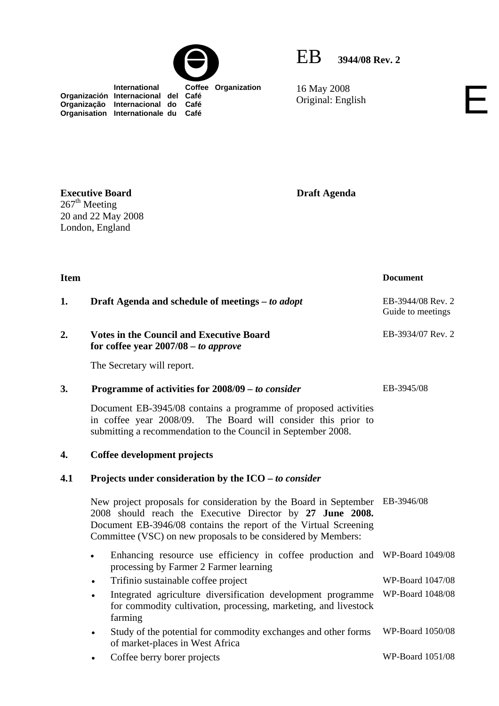



16 May 2008 16 May 2008<br>Original: English

 **International Coffee Organization Organización Internacional del Café Organização Internacional do Café Organisation Internationale du Café**

**Executive Board**   $267<sup>th</sup>$  Meeting

20 and 22 May 2008 London, England

**Draft Agenda** 

**Item** Document **1. Draft Agenda and schedule of meetings –** *to adopt* **EB-3944/08 Rev. 2** Guide to meetings **2. Votes in the Council and Executive Board for coffee year 2007/08** *– to approve*  The Secretary will report. EB-3934/07 Rev. 2 **3. Programme of activities for 2008/09** *– to consider* Document EB-3945/08 contains a programme of proposed activities in coffee year 2008/09. The Board will consider this prior to submitting a recommendation to the Council in September 2008. EB-3945/08 **4. Coffee development projects 4.1 Projects under consideration by the ICO –** *to consider* New project proposals for consideration by the Board in September EB-3946/08 2008 should reach the Executive Director by **27 June 2008.** Document EB-3946/08 contains the report of the Virtual Screening Committee (VSC) on new proposals to be considered by Members: • Enhancing resource use efficiency in coffee production and WP-Board 1049/08 processing by Farmer 2 Farmer learning • Trifinio sustainable coffee project WP-Board 1047/08 Integrated agriculture diversification development programme for commodity cultivation, processing, marketing, and livestock farming WP-Board 1048/08 Study of the potential for commodity exchanges and other forms of market-places in West Africa WP-Board 1050/08 • Coffee berry borer projects WP-Board 1051/08